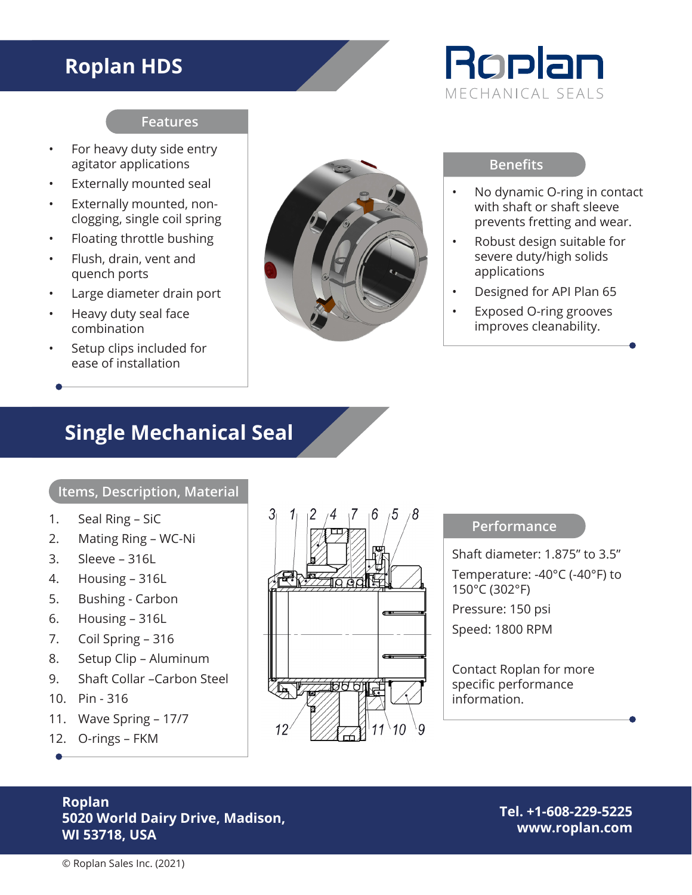## **Roplan HDS**

# Roplan MECHANICAL SEALS

### **Features**

- For heavy duty side entry agitator applications
- Externally mounted seal
- Externally mounted, nonclogging, single coil spring
- Floating throttle bushing
- Flush, drain, vent and quench ports
- Large diameter drain port
- Heavy duty seal face combination
- Setup clips included for ease of installation



#### **Benefits**

- No dynamic O-ring in contact with shaft or shaft sleeve prevents fretting and wear.
- Robust design suitable for severe duty/high solids applications
- Designed for API Plan 65
- Exposed O-ring grooves improves cleanability.

## **Single Mechanical Seal**

### **Items, Description, Material**

- 1. Seal Ring SiC
- 2. Mating Ring WC-Ni
- 3. Sleeve 316L
- 4. Housing 316L
- 5. Bushing Carbon
- 6. Housing 316L
- 7. Coil Spring 316
- 8. Setup Clip Aluminum
- 9. Shaft Collar –Carbon Steel
- 10. Pin 316
- 11. Wave Spring 17/7
- 12. O-rings FKM



### **Performance**

Shaft diameter: 1.875" to 3.5" Temperature: -40°C (-40°F) to 150°C (302°F) Pressure: 150 psi Speed: 1800 RPM

Contact Roplan for more specific performance information.

### **Roplan 5020 World Dairy Drive, Madison, WI 53718, USA**

**Tel. +1-608-229-5225 www.roplan.com**